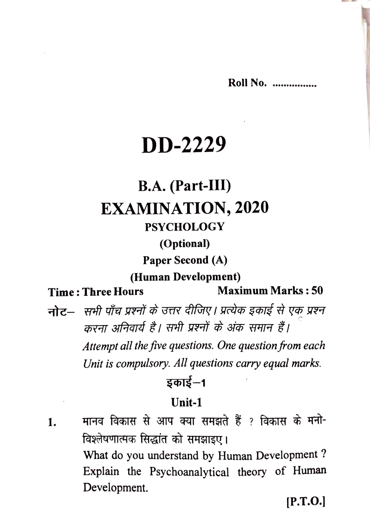**Roll No. ...............** 

### **DD-2229**

### **B.A.** (Part-III) **EXAMINATION, 2020**

#### **PSYCHOLOGY**

#### (Optional)

Paper Second (A)

#### (Human Development)

#### **Time: Three Hours**

**Maximum Marks: 50** 

नोट— सभी पाँच प्रश्नों के उत्तर दीजिए। प्रत्येक इकाई से एक प्रश्न करना अनिवार्य है। सभी प्रश्नों के अंक समान हैं। Attempt all the five questions. One question from each

Unit is compulsory. All questions carry equal marks.

#### डकाई $-1$

#### $Unit-1$

मानव विकास से आप क्या समझते हैं ? विकास के मनो-1. विश्लेषणात्मक सिद्धांत को समझाइए। What do you understand by Human Development? Explain the Psychoanalytical theory of Human Development.

 $[P.T.O.]$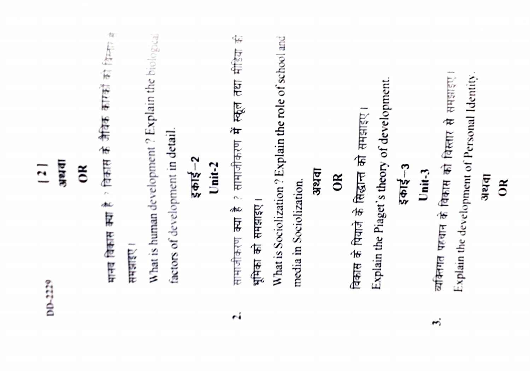| <b>Elek</b><br>$\frac{1}{2}$<br>$\tilde{c}$<br>DID-2229 | मानव विकास क्या है ? विकास के जैविक कारकों को विस्तार है<br><b>Antilent</b> | What is human development ? Explain the biological<br>factors of development in detail. | $3$ $615 - 2$<br>Unit- $2$ | सामाजीकरण क्या है ? सामाजीकरण में स्कूल तथा मीडिया की<br>भूमिका को समझाइए। | What is Sociolization? Explain the role of school and<br>अथवा<br>media in Sociolization. | OR | Explain the Piaget's theory of development.<br>विकास के पियाजे के सिद्धान्त को समझाइए। | Explain the development of Personal Identity.<br>व्यक्तिगत पहचान के विकास को विस्तार से समझाइए<br>$5 - 3$<br>$Unit-3$ |
|---------------------------------------------------------|-----------------------------------------------------------------------------|-----------------------------------------------------------------------------------------|----------------------------|----------------------------------------------------------------------------|------------------------------------------------------------------------------------------|----|----------------------------------------------------------------------------------------|-----------------------------------------------------------------------------------------------------------------------|
|                                                         |                                                                             |                                                                                         |                            | $\sim$                                                                     |                                                                                          |    |                                                                                        | 3.                                                                                                                    |

## apak<br>OR